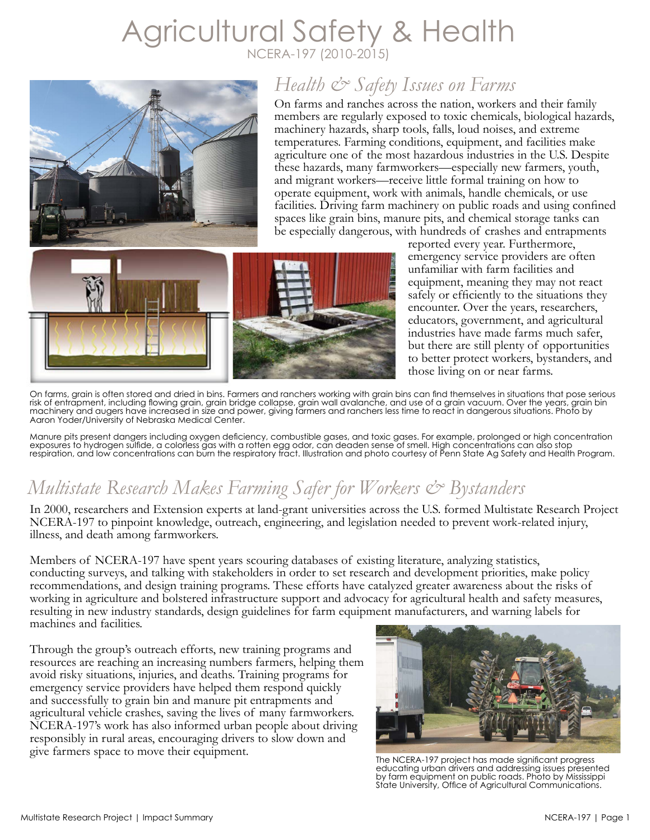# Agricultural Safety & Health NCERA-197 (2010-2015)



## *Health & Safety Issues on Farms*

On farms and ranches across the nation, workers and their family members are regularly exposed to toxic chemicals, biological hazards, machinery hazards, sharp tools, falls, loud noises, and extreme temperatures. Farming conditions, equipment, and facilities make agriculture one of the most hazardous industries in the U.S. Despite these hazards, many farmworkers—especially new farmers, youth, and migrant workers—receive little formal training on how to operate equipment, work with animals, handle chemicals, or use facilities. Driving farm machinery on public roads and using confined spaces like grain bins, manure pits, and chemical storage tanks can be especially dangerous, with hundreds of crashes and entrapments



reported every year. Furthermore, emergency service providers are often unfamiliar with farm facilities and equipment, meaning they may not react safely or efficiently to the situations they encounter. Over the years, researchers, educators, government, and agricultural industries have made farms much safer, but there are still plenty of opportunities to better protect workers, bystanders, and those living on or near farms.

On farms, grain is often stored and dried in bins. Farmers and ranchers working with grain bins can find themselves in situations that pose serious risk of entrapment, including flowing grain, grain bridge collapse, grain wall avalanche, and use of a grain vacuum. Over the years, grain bin machinery and augers have increased in size and power, giving farmers and ranchers less time to react in dangerous situations. Photo by Aaron Yoder/University of Nebraska Medical Center.

Manure pits present dangers including oxygen deficiency, combustible gases, and toxic gases. For example, prolonged or high concentration exposures to hydrogen sulfide, a colorless gas with a rotten egg odor, can deaden sense of smell. High concentrations can also stop respiration, and low concentrations can burn the respiratory tract. Illustration and photo courtesy of Penn State Ag Safety and Health Program.

## *Multistate Research Makes Farming Safer for Workers & Bystanders*

In 2000, researchers and Extension experts at land-grant universities across the U.S. formed Multistate Research Project NCERA-197 to pinpoint knowledge, outreach, engineering, and legislation needed to prevent work-related injury, illness, and death among farmworkers.

Members of NCERA-197 have spent years scouring databases of existing literature, analyzing statistics, conducting surveys, and talking with stakeholders in order to set research and development priorities, make policy recommendations, and design training programs. These efforts have catalyzed greater awareness about the risks of working in agriculture and bolstered infrastructure support and advocacy for agricultural health and safety measures, resulting in new industry standards, design guidelines for farm equipment manufacturers, and warning labels for machines and facilities.

Through the group's outreach efforts, new training programs and resources are reaching an increasing numbers farmers, helping them avoid risky situations, injuries, and deaths. Training programs for emergency service providers have helped them respond quickly and successfully to grain bin and manure pit entrapments and agricultural vehicle crashes, saving the lives of many farmworkers. NCERA-197's work has also informed urban people about driving responsibly in rural areas, encouraging drivers to slow down and give farmers space to move their equipment.<br>The NCERA-197 project has made significant progress



educating urban drivers and addressing issues presented by farm equipment on public roads. Photo by Mississippi State University, Office of Agricultural Communications.